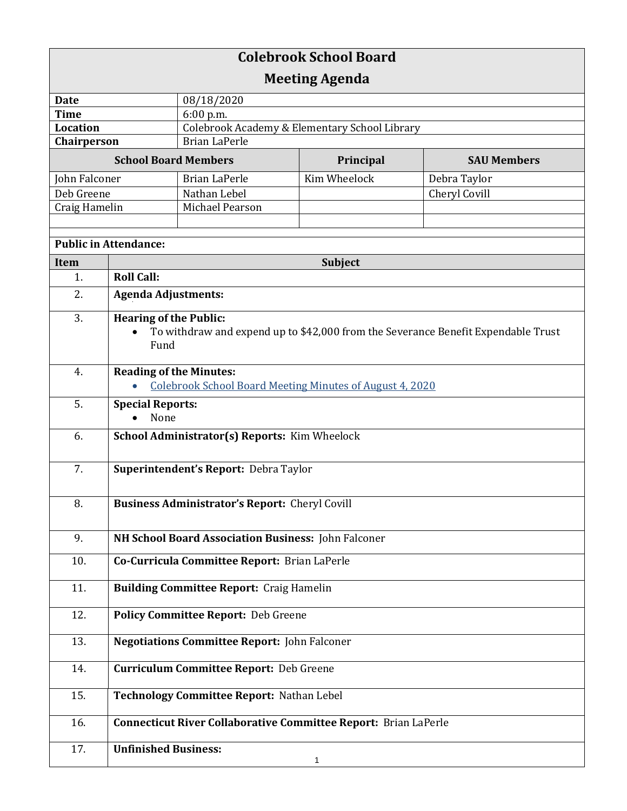| <b>Colebrook School Board</b> |                                                                                                                            |                                               |              |                    |  |
|-------------------------------|----------------------------------------------------------------------------------------------------------------------------|-----------------------------------------------|--------------|--------------------|--|
| <b>Meeting Agenda</b>         |                                                                                                                            |                                               |              |                    |  |
| <b>Date</b>                   |                                                                                                                            | 08/18/2020                                    |              |                    |  |
| <b>Time</b>                   |                                                                                                                            | 6:00 p.m.                                     |              |                    |  |
| <b>Location</b>               |                                                                                                                            | Colebrook Academy & Elementary School Library |              |                    |  |
| Chairperson                   |                                                                                                                            | <b>Brian LaPerle</b>                          |              |                    |  |
| <b>School Board Members</b>   |                                                                                                                            |                                               | Principal    | <b>SAU Members</b> |  |
| John Falconer                 |                                                                                                                            | <b>Brian LaPerle</b>                          | Kim Wheelock | Debra Taylor       |  |
| Deb Greene                    |                                                                                                                            | Nathan Lebel                                  |              | Cheryl Covill      |  |
| Craig Hamelin                 |                                                                                                                            | Michael Pearson                               |              |                    |  |
|                               |                                                                                                                            |                                               |              |                    |  |
| <b>Public in Attendance:</b>  |                                                                                                                            |                                               |              |                    |  |
| Item                          | Subject                                                                                                                    |                                               |              |                    |  |
| 1.                            | <b>Roll Call:</b>                                                                                                          |                                               |              |                    |  |
|                               |                                                                                                                            |                                               |              |                    |  |
| 2.                            | <b>Agenda Adjustments:</b>                                                                                                 |                                               |              |                    |  |
| 3.                            | <b>Hearing of the Public:</b><br>To withdraw and expend up to \$42,000 from the Severance Benefit Expendable Trust<br>Fund |                                               |              |                    |  |
|                               |                                                                                                                            |                                               |              |                    |  |
| 4.                            | <b>Reading of the Minutes:</b><br>Colebrook School Board Meeting Minutes of August 4, 2020                                 |                                               |              |                    |  |
| 5.                            | <b>Special Reports:</b>                                                                                                    |                                               |              |                    |  |
|                               | None                                                                                                                       |                                               |              |                    |  |
| 6.                            | School Administrator(s) Reports: Kim Wheelock                                                                              |                                               |              |                    |  |
| 7.                            | Superintendent's Report: Debra Taylor                                                                                      |                                               |              |                    |  |
| 8.                            | Business Administrator's Report: Cheryl Covill                                                                             |                                               |              |                    |  |
|                               |                                                                                                                            |                                               |              |                    |  |
| 9.                            | NH School Board Association Business: John Falconer                                                                        |                                               |              |                    |  |
| 10.                           | Co-Curricula Committee Report: Brian LaPerle                                                                               |                                               |              |                    |  |
| 11.                           | <b>Building Committee Report: Craig Hamelin</b>                                                                            |                                               |              |                    |  |
| 12.                           | <b>Policy Committee Report: Deb Greene</b>                                                                                 |                                               |              |                    |  |
| 13.                           | <b>Negotiations Committee Report: John Falconer</b>                                                                        |                                               |              |                    |  |
| 14.                           | <b>Curriculum Committee Report: Deb Greene</b>                                                                             |                                               |              |                    |  |
| 15.                           | Technology Committee Report: Nathan Lebel                                                                                  |                                               |              |                    |  |
| 16.                           | <b>Connecticut River Collaborative Committee Report: Brian LaPerle</b>                                                     |                                               |              |                    |  |
| 17.                           | <b>Unfinished Business:</b>                                                                                                |                                               | 1            |                    |  |